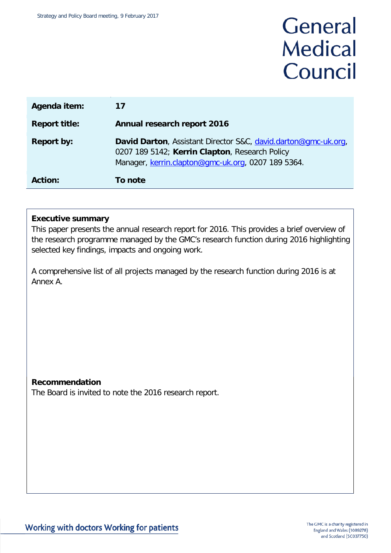# General **Medical** Council

| Agenda item:         | 17                                                                                                                                                                     |
|----------------------|------------------------------------------------------------------------------------------------------------------------------------------------------------------------|
| <b>Report title:</b> | Annual research report 2016                                                                                                                                            |
| <b>Report by:</b>    | David Darton, Assistant Director S&C, david.darton@gmc-uk.org,<br>0207 189 5142; Kerrin Clapton, Research Policy<br>Manager, kerrin.clapton@gmc-uk.org, 0207 189 5364. |
| <b>Action:</b>       | To note                                                                                                                                                                |

#### **Executive summary**

This paper presents the annual research report for 2016. This provides a brief overview of the research programme managed by the GMC's research function during 2016 highlighting selected key findings, impacts and ongoing work.

A comprehensive list of all projects managed by the research function during 2016 is at Annex A.

#### **Recommendation**

The Board is invited to note the 2016 research report.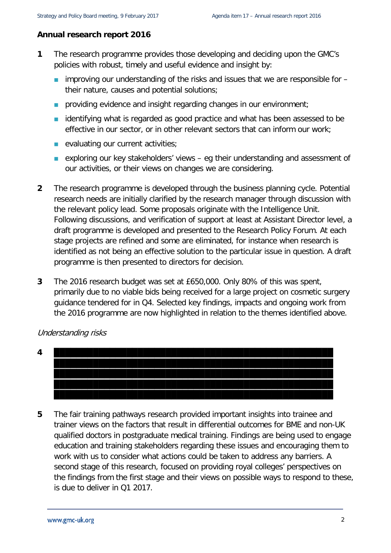#### **Annual research report 2016**

- **1** The research programme provides those developing and deciding upon the GMC's policies with robust, timely and useful evidence and insight by:
	- **improving our understanding of the risks and issues that we are responsible for** their nature, causes and potential solutions;
	- **providing evidence and insight regarding changes in our environment;**
	- **identifying what is regarded as good practice and what has been assessed to be** effective in our sector, or in other relevant sectors that can inform our work;
	- **E** evaluating our current activities;
	- exploring our key stakeholders' views  $-$  eg their understanding and assessment of our activities, or their views on changes we are considering.
- **2** The research programme is developed through the business planning cycle. Potential research needs are initially clarified by the research manager through discussion with the relevant policy lead. Some proposals originate with the Intelligence Unit. Following discussions, and verification of support at least at Assistant Director level, a draft programme is developed and presented to the Research Policy Forum. At each stage projects are refined and some are eliminated, for instance when research is identified as not being an effective solution to the particular issue in question. A draft programme is then presented to directors for decision.
- **3** The 2016 research budget was set at £650,000. Only 80% of this was spent, primarily due to no viable bids being received for a large project on cosmetic surgery guidance tendered for in Q4. Selected key findings, impacts and ongoing work from the 2016 programme are now highlighted in relation to the themes identified above.

Understanding risks



**5** The fair training pathways research provided important insights into trainee and trainer views on the factors that result in differential outcomes for BME and non-UK qualified doctors in postgraduate medical training. Findings are being used to engage education and training stakeholders regarding these issues and encouraging them to work with us to consider what actions could be taken to address any barriers. A second stage of this research, focused on providing royal colleges' perspectives on the findings from the first stage and their views on possible ways to respond to these, is due to deliver in Q1 2017.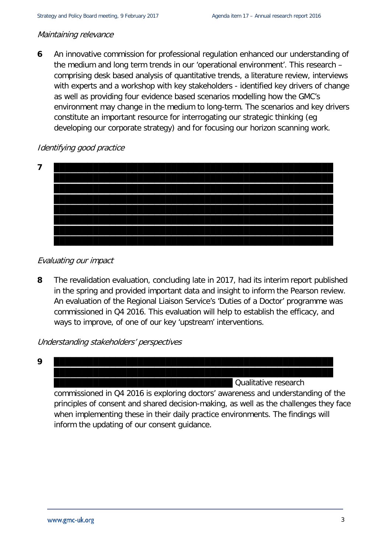#### Maintaining relevance

**6** An innovative commission for professional regulation enhanced our understanding of the medium and long term trends in our 'operational environment'. This research – comprising desk based analysis of quantitative trends, a literature review, interviews with experts and a workshop with key stakeholders - identified key drivers of change as well as providing four evidence based scenarios modelling how the GMC's environment may change in the medium to long-term. The scenarios and key drivers constitute an important resource for interrogating our strategic thinking (eg developing our corporate strategy) and for focusing our horizon scanning work.

#### Identifying good practice



#### Evaluating our impact

**8** The revalidation evaluation, concluding late in 2017, had its interim report published in the spring and provided important data and insight to inform the Pearson review. An evaluation of the Regional Liaison Service's 'Duties of a Doctor' programme was commissioned in Q4 2016. This evaluation will help to establish the efficacy, and ways to improve, of one of our key 'upstream' interventions.

Understanding stakeholders' perspectives



inform the updating of our consent guidance.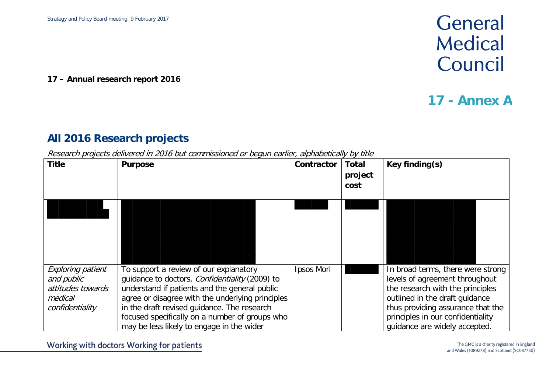**17 – Annual research report 2016**

## General **Medical** Council

### **17 - Annex A**

### **All 2016 Research projects**

Research projects delivered in 2016 but commissioned or begun earlier, alphabetically by title

| <b>Title</b>                                                                              | <b>Purpose</b>                                                                                                                                                                                                                                                                                                                                     | Contractor | <b>Total</b><br>project<br>cost | Key finding(s)                                                                                                                                                                                                                                       |
|-------------------------------------------------------------------------------------------|----------------------------------------------------------------------------------------------------------------------------------------------------------------------------------------------------------------------------------------------------------------------------------------------------------------------------------------------------|------------|---------------------------------|------------------------------------------------------------------------------------------------------------------------------------------------------------------------------------------------------------------------------------------------------|
|                                                                                           |                                                                                                                                                                                                                                                                                                                                                    |            |                                 |                                                                                                                                                                                                                                                      |
| <b>Exploring patient</b><br>and public<br>attitudes towards<br>medical<br>confidentiality | To support a review of our explanatory<br>quidance to doctors, <i>Confidentiality</i> (2009) to<br>understand if patients and the general public<br>agree or disagree with the underlying principles<br>in the draft revised guidance. The research<br>focused specifically on a number of groups who<br>may be less likely to engage in the wider | Ipsos Mori |                                 | In broad terms, there were strong<br>levels of agreement throughout<br>the research with the principles<br>outlined in the draft quidance<br>thus providing assurance that the<br>principles in our confidentiality<br>quidance are widely accepted. |

Working with doctors Working for patients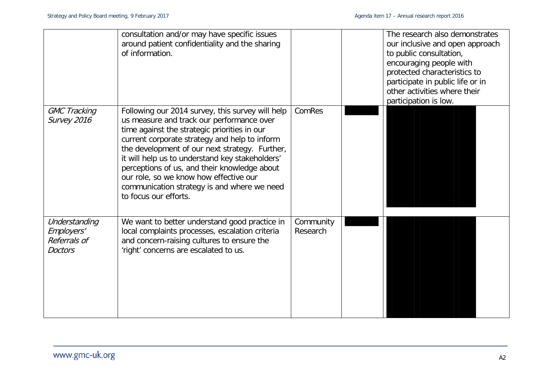|                                                               | consultation and/or may have specific issues<br>around patient confidentiality and the sharing<br>of information.                                                                                                                                                                                                                                                                                                                                                     |                       | The research also demonstrates<br>our inclusive and open approach<br>to public consultation,<br>encouraging people with<br>protected characteristics to<br>participate in public life or in<br>other activities where their<br>participation is low. |
|---------------------------------------------------------------|-----------------------------------------------------------------------------------------------------------------------------------------------------------------------------------------------------------------------------------------------------------------------------------------------------------------------------------------------------------------------------------------------------------------------------------------------------------------------|-----------------------|------------------------------------------------------------------------------------------------------------------------------------------------------------------------------------------------------------------------------------------------------|
| <b>GMC Tracking</b><br>Survey 2016                            | Following our 2014 survey, this survey will help<br>us measure and track our performance over<br>time against the strategic priorities in our<br>current corporate strategy and help to inform<br>the development of our next strategy. Further,<br>it will help us to understand key stakeholders'<br>perceptions of us, and their knowledge about<br>our role, so we know how effective our<br>communication strategy is and where we need<br>to focus our efforts. | ComRes                |                                                                                                                                                                                                                                                      |
| Understanding<br>Employers'<br>Referrals of<br><b>Doctors</b> | We want to better understand good practice in<br>local complaints processes, escalation criteria<br>and concern-raising cultures to ensure the<br>'right' concerns are escalated to us.                                                                                                                                                                                                                                                                               | Community<br>Research |                                                                                                                                                                                                                                                      |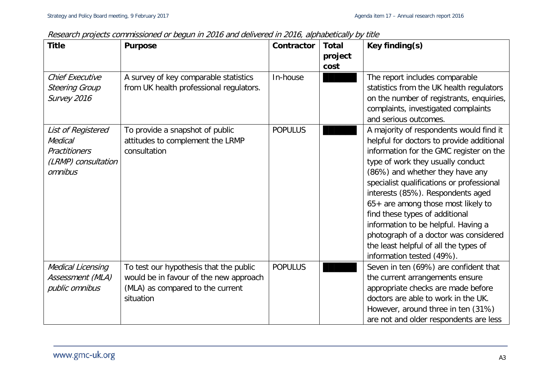| <b>Title</b>                                                                            | Research projects commissioned or began in 2010 and denvered in 2010, alphabetically by this<br><b>Purpose</b>                    | Contractor     | <b>Total</b><br>project | Key finding(s)                                                                                                                                                                                                                                                                                                                                                                                                                                                                                                          |
|-----------------------------------------------------------------------------------------|-----------------------------------------------------------------------------------------------------------------------------------|----------------|-------------------------|-------------------------------------------------------------------------------------------------------------------------------------------------------------------------------------------------------------------------------------------------------------------------------------------------------------------------------------------------------------------------------------------------------------------------------------------------------------------------------------------------------------------------|
| <b>Chief Executive</b><br><b>Steering Group</b><br>Survey 2016                          | A survey of key comparable statistics<br>from UK health professional regulators.                                                  | In-house       | cost                    | The report includes comparable<br>statistics from the UK health regulators<br>on the number of registrants, enquiries,<br>complaints, investigated complaints<br>and serious outcomes.                                                                                                                                                                                                                                                                                                                                  |
| List of Registered<br>Medical<br><b>Practitioners</b><br>(LRMP) consultation<br>omnibus | To provide a snapshot of public<br>attitudes to complement the LRMP<br>consultation                                               | <b>POPULUS</b> |                         | A majority of respondents would find it<br>helpful for doctors to provide additional<br>information for the GMC register on the<br>type of work they usually conduct<br>(86%) and whether they have any<br>specialist qualifications or professional<br>interests (85%). Respondents aged<br>65+ are among those most likely to<br>find these types of additional<br>information to be helpful. Having a<br>photograph of a doctor was considered<br>the least helpful of all the types of<br>information tested (49%). |
| Medical Licensing<br>Assessment (MLA)<br>public omnibus                                 | To test our hypothesis that the public<br>would be in favour of the new approach<br>(MLA) as compared to the current<br>situation | <b>POPULUS</b> |                         | Seven in ten (69%) are confident that<br>the current arrangements ensure<br>appropriate checks are made before<br>doctors are able to work in the UK.<br>However, around three in ten (31%)<br>are not and older respondents are less                                                                                                                                                                                                                                                                                   |

Research projects commissioned or begun in 2016 and delivered in 2016, alphabetically by title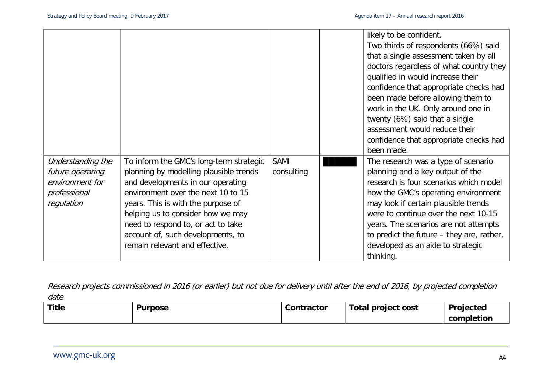|                   |                                         |             | likely to be confident.                   |
|-------------------|-----------------------------------------|-------------|-------------------------------------------|
|                   |                                         |             | Two thirds of respondents (66%) said      |
|                   |                                         |             | that a single assessment taken by all     |
|                   |                                         |             | doctors regardless of what country they   |
|                   |                                         |             | qualified in would increase their         |
|                   |                                         |             | confidence that appropriate checks had    |
|                   |                                         |             | been made before allowing them to         |
|                   |                                         |             | work in the UK. Only around one in        |
|                   |                                         |             | twenty (6%) said that a single            |
|                   |                                         |             | assessment would reduce their             |
|                   |                                         |             | confidence that appropriate checks had    |
|                   |                                         |             | been made.                                |
| Understanding the | To inform the GMC's long-term strategic | <b>SAMI</b> | The research was a type of scenario       |
| future operating  | planning by modelling plausible trends  | consulting  | planning and a key output of the          |
| environment for   | and developments in our operating       |             | research is four scenarios which model    |
| professional      | environment over the next 10 to 15      |             | how the GMC's operating environment       |
| regulation        | years. This is with the purpose of      |             | may look if certain plausible trends      |
|                   | helping us to consider how we may       |             | were to continue over the next 10-15      |
|                   | need to respond to, or act to take      |             | years. The scenarios are not attempts     |
|                   | account of, such developments, to       |             | to predict the future – they are, rather, |
|                   | remain relevant and effective.          |             | developed as an aide to strategic         |
|                   |                                         |             | thinking.                                 |

Research projects commissioned in 2016 (or earlier) but not due for delivery until after the end of 2016, by projected completion date

| <b>Title</b> | <b>Purpose</b> | Contractor | Total project cost | <b>Projected</b> |
|--------------|----------------|------------|--------------------|------------------|
|              |                |            |                    | completion       |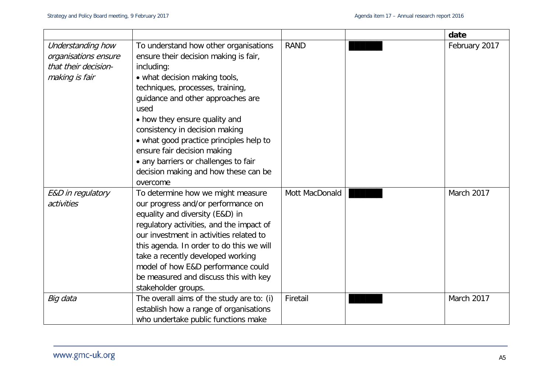|                      |                                           |                | date          |
|----------------------|-------------------------------------------|----------------|---------------|
| Understanding how    | To understand how other organisations     | <b>RAND</b>    | February 2017 |
| organisations ensure | ensure their decision making is fair,     |                |               |
| that their decision- | including:                                |                |               |
| making is fair       | • what decision making tools,             |                |               |
|                      | techniques, processes, training,          |                |               |
|                      | guidance and other approaches are         |                |               |
|                      | used                                      |                |               |
|                      | • how they ensure quality and             |                |               |
|                      | consistency in decision making            |                |               |
|                      | • what good practice principles help to   |                |               |
|                      | ensure fair decision making               |                |               |
|                      | • any barriers or challenges to fair      |                |               |
|                      | decision making and how these can be      |                |               |
|                      | overcome                                  |                |               |
| E&D in regulatory    | To determine how we might measure         | Mott MacDonald | March 2017    |
| activities           | our progress and/or performance on        |                |               |
|                      | equality and diversity (E&D) in           |                |               |
|                      | regulatory activities, and the impact of  |                |               |
|                      | our investment in activities related to   |                |               |
|                      | this agenda. In order to do this we will  |                |               |
|                      | take a recently developed working         |                |               |
|                      | model of how E&D performance could        |                |               |
|                      | be measured and discuss this with key     |                |               |
|                      | stakeholder groups.                       |                |               |
| Big data             | The overall aims of the study are to: (i) | Firetail       | March 2017    |
|                      | establish how a range of organisations    |                |               |
|                      | who undertake public functions make       |                |               |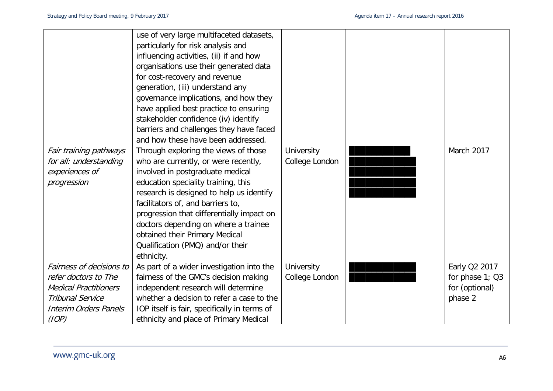|                              | use of very large multifaceted datasets,<br>particularly for risk analysis and<br>influencing activities, (ii) if and how<br>organisations use their generated data<br>for cost-recovery and revenue |                   |                 |
|------------------------------|------------------------------------------------------------------------------------------------------------------------------------------------------------------------------------------------------|-------------------|-----------------|
|                              | generation, (iii) understand any                                                                                                                                                                     |                   |                 |
|                              | governance implications, and how they                                                                                                                                                                |                   |                 |
|                              | have applied best practice to ensuring                                                                                                                                                               |                   |                 |
|                              | stakeholder confidence (iv) identify                                                                                                                                                                 |                   |                 |
|                              | barriers and challenges they have faced                                                                                                                                                              |                   |                 |
|                              | and how these have been addressed.                                                                                                                                                                   |                   |                 |
| Fair training pathways       | Through exploring the views of those                                                                                                                                                                 | <b>University</b> | March 2017      |
| for all: understanding       | who are currently, or were recently,                                                                                                                                                                 | College London    |                 |
| experiences of               | involved in postgraduate medical                                                                                                                                                                     |                   |                 |
| progression                  | education speciality training, this                                                                                                                                                                  |                   |                 |
|                              | research is designed to help us identify                                                                                                                                                             |                   |                 |
|                              | facilitators of, and barriers to,                                                                                                                                                                    |                   |                 |
|                              | progression that differentially impact on                                                                                                                                                            |                   |                 |
|                              | doctors depending on where a trainee                                                                                                                                                                 |                   |                 |
|                              | obtained their Primary Medical                                                                                                                                                                       |                   |                 |
|                              | Qualification (PMQ) and/or their                                                                                                                                                                     |                   |                 |
|                              | ethnicity.                                                                                                                                                                                           |                   |                 |
| Fairness of decisions to     | As part of a wider investigation into the                                                                                                                                                            | University        | Early Q2 2017   |
| refer doctors to The         | fairness of the GMC's decision making                                                                                                                                                                | College London    | for phase 1; Q3 |
| <b>Medical Practitioners</b> | independent research will determine                                                                                                                                                                  |                   | for (optional)  |
| <b>Tribunal Service</b>      | whether a decision to refer a case to the                                                                                                                                                            |                   | phase 2         |
| <b>Interim Orders Panels</b> | IOP itself is fair, specifically in terms of                                                                                                                                                         |                   |                 |
| (IOP)                        | ethnicity and place of Primary Medical                                                                                                                                                               |                   |                 |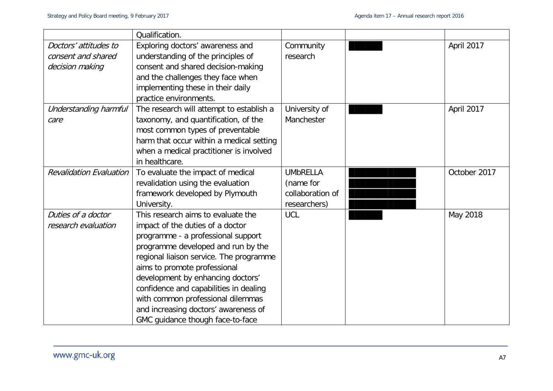|                                | Qualification.                           |                  |              |
|--------------------------------|------------------------------------------|------------------|--------------|
| Doctors' attitudes to          | Exploring doctors' awareness and         | Community        | April 2017   |
| consent and shared             | understanding of the principles of       | research         |              |
| decision making                | consent and shared decision-making       |                  |              |
|                                | and the challenges they face when        |                  |              |
|                                | implementing these in their daily        |                  |              |
|                                | practice environments.                   |                  |              |
| Understanding harmful          | The research will attempt to establish a | University of    | April 2017   |
| care                           | taxonomy, and quantification, of the     | Manchester       |              |
|                                | most common types of preventable         |                  |              |
|                                | harm that occur within a medical setting |                  |              |
|                                | when a medical practitioner is involved  |                  |              |
|                                | in healthcare.                           |                  |              |
| <b>Revalidation Evaluation</b> | To evaluate the impact of medical        | <b>UMbRELLA</b>  | October 2017 |
|                                | revalidation using the evaluation        | (name for        |              |
|                                | framework developed by Plymouth          | collaboration of |              |
|                                | University.                              | researchers)     |              |
| Duties of a doctor             | This research aims to evaluate the       | <b>UCL</b>       | May 2018     |
| research evaluation            | impact of the duties of a doctor         |                  |              |
|                                | programme - a professional support       |                  |              |
|                                | programme developed and run by the       |                  |              |
|                                | regional liaison service. The programme  |                  |              |
|                                | aims to promote professional             |                  |              |
|                                | development by enhancing doctors'        |                  |              |
|                                | confidence and capabilities in dealing   |                  |              |
|                                | with common professional dilemmas        |                  |              |
|                                | and increasing doctors' awareness of     |                  |              |
|                                | GMC guidance though face-to-face         |                  |              |